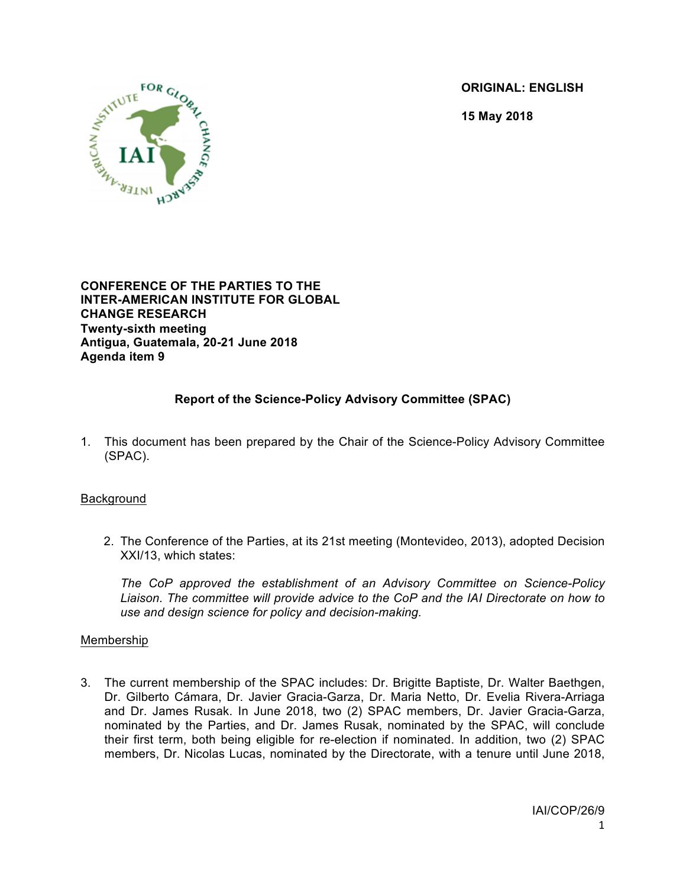**ORIGINAL: ENGLISH**

**15 May 2018**



**CONFERENCE OF THE PARTIES TO THE INTER-AMERICAN INSTITUTE FOR GLOBAL CHANGE RESEARCH Twenty-sixth meeting Antigua, Guatemala, 20-21 June 2018 Agenda item 9**

# **Report of the Science-Policy Advisory Committee (SPAC)**

1. This document has been prepared by the Chair of the Science-Policy Advisory Committee (SPAC).

## Background

2. The Conference of the Parties, at its 21st meeting (Montevideo, 2013), adopted Decision XXI/13, which states:

*The CoP approved the establishment of an Advisory Committee on Science-Policy Liaison. The committee will provide advice to the CoP and the IAI Directorate on how to use and design science for policy and decision-making.*

## **Membership**

3. The current membership of the SPAC includes: Dr. Brigitte Baptiste, Dr. Walter Baethgen, Dr. Gilberto Cámara, Dr. Javier Gracia-Garza, Dr. Maria Netto, Dr. Evelia Rivera-Arriaga and Dr. James Rusak. In June 2018, two (2) SPAC members, Dr. Javier Gracia-Garza, nominated by the Parties, and Dr. James Rusak, nominated by the SPAC, will conclude their first term, both being eligible for re-election if nominated. In addition, two (2) SPAC members, Dr. Nicolas Lucas, nominated by the Directorate, with a tenure until June 2018,